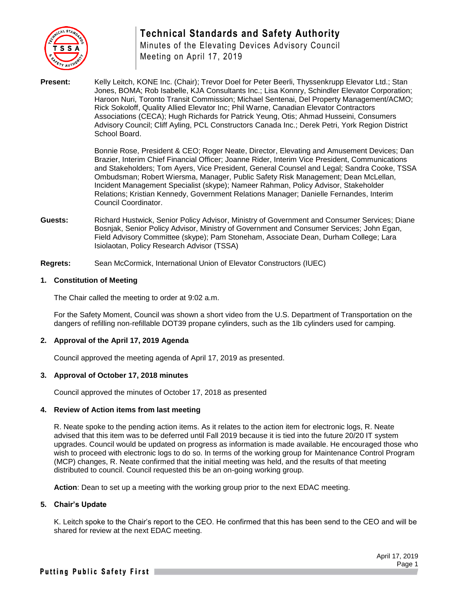

# **Technical Standards and Safety Authority**

Minutes of the Elevating Devices Advisory Council Meeting on April 17, 2019

**Present:** Kelly Leitch, KONE Inc. (Chair); Trevor Doel for Peter Beerli, Thyssenkrupp Elevator Ltd.; Stan Jones, BOMA; Rob Isabelle, KJA Consultants Inc.; Lisa Konnry, Schindler Elevator Corporation; Haroon Nuri, Toronto Transit Commission; Michael Sentenai, Del Property Management/ACMO; Rick Sokoloff, Quality Allied Elevator Inc; Phil Warne, Canadian Elevator Contractors Associations (CECA); Hugh Richards for Patrick Yeung, Otis; Ahmad Husseini, Consumers Advisory Council; Cliff Ayling, PCL Constructors Canada Inc.; Derek Petri, York Region District School Board.

> Bonnie Rose, President & CEO; Roger Neate, Director, Elevating and Amusement Devices; Dan Brazier, Interim Chief Financial Officer; Joanne Rider, Interim Vice President, Communications and Stakeholders; Tom Ayers, Vice President, General Counsel and Legal; Sandra Cooke, TSSA Ombudsman; Robert Wiersma, Manager, Public Safety Risk Management; Dean McLellan, Incident Management Specialist (skype); Nameer Rahman, Policy Advisor, Stakeholder Relations; Kristian Kennedy, Government Relations Manager; Danielle Fernandes, Interim Council Coordinator.

- **Guests:** Richard Hustwick, Senior Policy Advisor, Ministry of Government and Consumer Services; Diane Bosnjak, Senior Policy Advisor, Ministry of Government and Consumer Services; John Egan, Field Advisory Committee (skype); Pam Stoneham, Associate Dean, Durham College; Lara Isiolaotan, Policy Research Advisor (TSSA)
- **Regrets:** Sean McCormick, International Union of Elevator Constructors (IUEC)

## **1. Constitution of Meeting**

The Chair called the meeting to order at 9:02 a.m.

For the Safety Moment, Council was shown a short video from the U.S. Department of Transportation on the dangers of refilling non-refillable DOT39 propane cylinders, such as the 1lb cylinders used for camping.

## **2. Approval of the April 17, 2019 Agenda**

Council approved the meeting agenda of April 17, 2019 as presented.

## **3. Approval of October 17, 2018 minutes**

Council approved the minutes of October 17, 2018 as presented

## **4. Review of Action items from last meeting**

R. Neate spoke to the pending action items. As it relates to the action item for electronic logs, R. Neate advised that this item was to be deferred until Fall 2019 because it is tied into the future 20/20 IT system upgrades. Council would be updated on progress as information is made available. He encouraged those who wish to proceed with electronic logs to do so. In terms of the working group for Maintenance Control Program (MCP) changes, R. Neate confirmed that the initial meeting was held, and the results of that meeting distributed to council. Council requested this be an on-going working group.

**Action**: Dean to set up a meeting with the working group prior to the next EDAC meeting.

## **5. Chair's Update**

K. Leitch spoke to the Chair's report to the CEO. He confirmed that this has been send to the CEO and will be shared for review at the next EDAC meeting.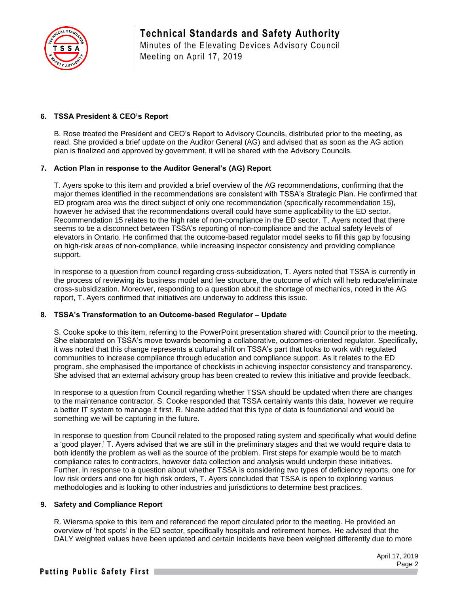

**Technical Standards and Safety Authority** Minutes of the Elevating Devices Advisory Council Meeting on April 17, 2019

## **6. TSSA President & CEO's Report**

B. Rose treated the President and CEO's Report to Advisory Councils, distributed prior to the meeting, as read. She provided a brief update on the Auditor General (AG) and advised that as soon as the AG action plan is finalized and approved by government, it will be shared with the Advisory Councils.

#### **7. Action Plan in response to the Auditor General's (AG) Report**

T. Ayers spoke to this item and provided a brief overview of the AG recommendations, confirming that the major themes identified in the recommendations are consistent with TSSA's Strategic Plan. He confirmed that ED program area was the direct subject of only one recommendation (specifically recommendation 15), however he advised that the recommendations overall could have some applicability to the ED sector. Recommendation 15 relates to the high rate of non-compliance in the ED sector. T. Ayers noted that there seems to be a disconnect between TSSA's reporting of non-compliance and the actual safety levels of elevators in Ontario. He confirmed that the outcome-based regulator model seeks to fill this gap by focusing on high-risk areas of non-compliance, while increasing inspector consistency and providing compliance support.

In response to a question from council regarding cross-subsidization, T. Ayers noted that TSSA is currently in the process of reviewing its business model and fee structure, the outcome of which will help reduce/eliminate cross-subsidization. Moreover, responding to a question about the shortage of mechanics, noted in the AG report, T. Ayers confirmed that initiatives are underway to address this issue.

#### **8. TSSA's Transformation to an Outcome-based Regulator – Update**

S. Cooke spoke to this item, referring to the PowerPoint presentation shared with Council prior to the meeting. She elaborated on TSSA's move towards becoming a collaborative, outcomes-oriented regulator. Specifically, it was noted that this change represents a cultural shift on TSSA's part that looks to work with regulated communities to increase compliance through education and compliance support. As it relates to the ED program, she emphasised the importance of checklists in achieving inspector consistency and transparency. She advised that an external advisory group has been created to review this initiative and provide feedback.

In response to a question from Council regarding whether TSSA should be updated when there are changes to the maintenance contractor, S. Cooke responded that TSSA certainly wants this data, however we require a better IT system to manage it first. R. Neate added that this type of data is foundational and would be something we will be capturing in the future.

In response to question from Council related to the proposed rating system and specifically what would define a 'good player,' T. Ayers advised that we are still in the preliminary stages and that we would require data to both identify the problem as well as the source of the problem. First steps for example would be to match compliance rates to contractors, however data collection and analysis would underpin these initiatives. Further, in response to a question about whether TSSA is considering two types of deficiency reports, one for low risk orders and one for high risk orders, T. Ayers concluded that TSSA is open to exploring various methodologies and is looking to other industries and jurisdictions to determine best practices.

## **9. Safety and Compliance Report**

R. Wiersma spoke to this item and referenced the report circulated prior to the meeting. He provided an overview of 'hot spots' in the ED sector, specifically hospitals and retirement homes. He advised that the DALY weighted values have been updated and certain incidents have been weighted differently due to more

> April 17, 2019 Page 2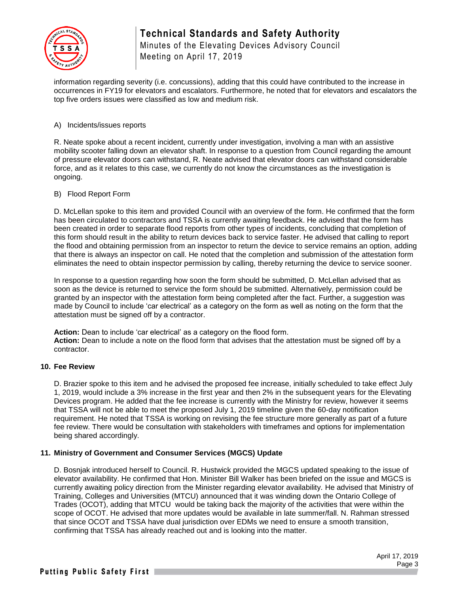

# **Technical Standards and Safety Authority** Minutes of the Elevating Devices Advisory Council

Meeting on April 17, 2019

information regarding severity (i.e. concussions), adding that this could have contributed to the increase in occurrences in FY19 for elevators and escalators. Furthermore, he noted that for elevators and escalators the top five orders issues were classified as low and medium risk.

## A) Incidents/issues reports

R. Neate spoke about a recent incident, currently under investigation, involving a man with an assistive mobility scooter falling down an elevator shaft. In response to a question from Council regarding the amount of pressure elevator doors can withstand, R. Neate advised that elevator doors can withstand considerable force, and as it relates to this case, we currently do not know the circumstances as the investigation is ongoing.

## B) Flood Report Form

D. McLellan spoke to this item and provided Council with an overview of the form. He confirmed that the form has been circulated to contractors and TSSA is currently awaiting feedback. He advised that the form has been created in order to separate flood reports from other types of incidents, concluding that completion of this form should result in the ability to return devices back to service faster. He advised that calling to report the flood and obtaining permission from an inspector to return the device to service remains an option, adding that there is always an inspector on call. He noted that the completion and submission of the attestation form eliminates the need to obtain inspector permission by calling, thereby returning the device to service sooner.

In response to a question regarding how soon the form should be submitted, D. McLellan advised that as soon as the device is returned to service the form should be submitted. Alternatively, permission could be granted by an inspector with the attestation form being completed after the fact. Further, a suggestion was made by Council to include 'car electrical' as a category on the form as well as noting on the form that the attestation must be signed off by a contractor.

**Action:** Dean to include 'car electrical' as a category on the flood form. **Action:** Dean to include a note on the flood form that advises that the attestation must be signed off by a contractor.

## **10. Fee Review**

D. Brazier spoke to this item and he advised the proposed fee increase, initially scheduled to take effect July 1, 2019, would include a 3% increase in the first year and then 2% in the subsequent years for the Elevating Devices program. He added that the fee increase is currently with the Ministry for review, however it seems that TSSA will not be able to meet the proposed July 1, 2019 timeline given the 60-day notification requirement. He noted that TSSA is working on revising the fee structure more generally as part of a future fee review. There would be consultation with stakeholders with timeframes and options for implementation being shared accordingly.

## **11. Ministry of Government and Consumer Services (MGCS) Update**

D. Bosnjak introduced herself to Council. R. Hustwick provided the MGCS updated speaking to the issue of elevator availability. He confirmed that Hon. Minister Bill Walker has been briefed on the issue and MGCS is currently awaiting policy direction from the Minister regarding elevator availability. He advised that Ministry of Training, Colleges and Universities (MTCU) announced that it was winding down the Ontario College of Trades (OCOT), adding that MTCU would be taking back the majority of the activities that were within the scope of OCOT. He advised that more updates would be available in late summer/fall. N. Rahman stressed that since OCOT and TSSA have dual jurisdiction over EDMs we need to ensure a smooth transition, confirming that TSSA has already reached out and is looking into the matter.